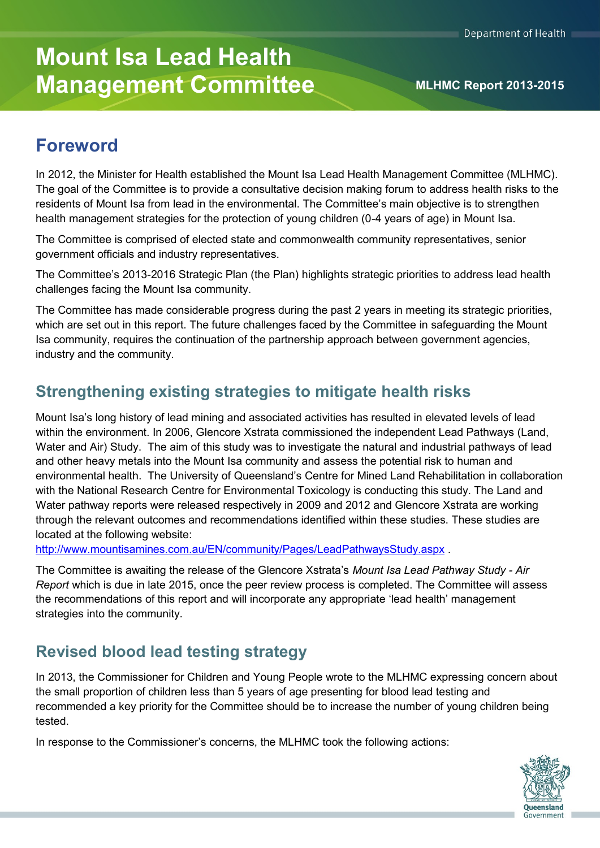# **Mount Isa Lead Health Management Committee MANUS MLHMC Report 2013-2015**

# **Foreword**

In 2012, the Minister for Health established the Mount Isa Lead Health Management Committee (MLHMC). The goal of the Committee is to provide a consultative decision making forum to address health risks to the residents of Mount Isa from lead in the environmental. The Committee's main objective is to strengthen health management strategies for the protection of young children (0-4 years of age) in Mount Isa.

The Committee is comprised of elected state and commonwealth community representatives, senior government officials and industry representatives.

The Committee's 2013-2016 Strategic Plan (the Plan) highlights strategic priorities to address lead health challenges facing the Mount Isa community.

The Committee has made considerable progress during the past 2 years in meeting its strategic priorities, which are set out in this report. The future challenges faced by the Committee in safeguarding the Mount Isa community, requires the continuation of the partnership approach between government agencies, industry and the community.

# **Strengthening existing strategies to mitigate health risks**

Mount Isa's long history of lead mining and associated activities has resulted in elevated levels of lead within the environment. In 2006, Glencore Xstrata commissioned the independent Lead Pathways (Land, Water and Air) Study. The aim of this study was to investigate the natural and industrial pathways of lead and other heavy metals into the Mount Isa community and assess the potential risk to human and environmental health. The University of Queensland's Centre for Mined Land Rehabilitation in collaboration with the National Research Centre for Environmental Toxicology is conducting this study. The Land and Water pathway reports were released respectively in 2009 and 2012 and Glencore Xstrata are working through the relevant outcomes and recommendations identified within these studies. These studies are located at the following website:

<http://www.mountisamines.com.au/EN/community/Pages/LeadPathwaysStudy.aspx> .

The Committee is awaiting the release of the Glencore Xstrata's *Mount Isa Lead Pathway Study - Air Report* which is due in late 2015, once the peer review process is completed. The Committee will assess the recommendations of this report and will incorporate any appropriate 'lead health' management strategies into the community.

# **Revised blood lead testing strategy**

In 2013, the Commissioner for Children and Young People wrote to the MLHMC expressing concern about the small proportion of children less than 5 years of age presenting for blood lead testing and recommended a key priority for the Committee should be to increase the number of young children being tested.

In response to the Commissioner's concerns, the MLHMC took the following actions:

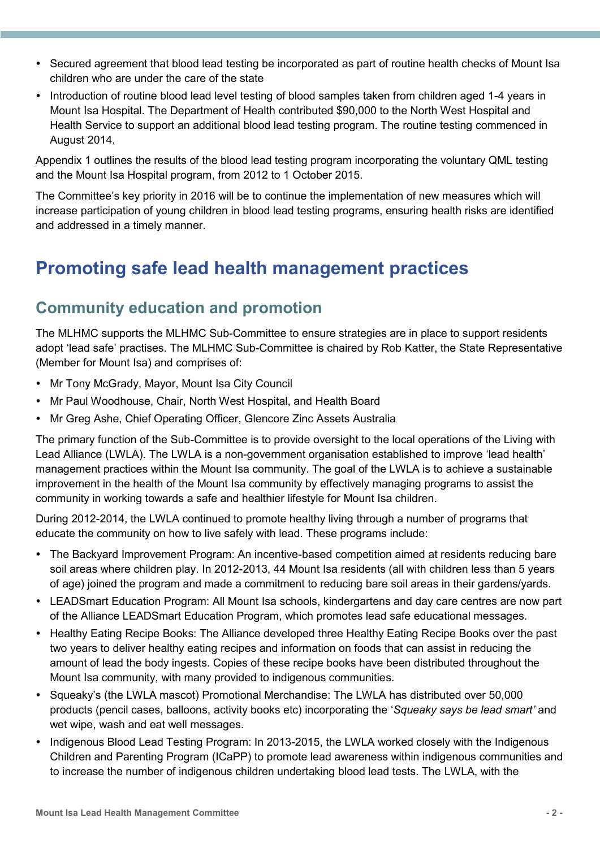- Secured agreement that blood lead testing be incorporated as part of routine health checks of Mount Isa children who are under the care of the state
- Introduction of routine blood lead level testing of blood samples taken from children aged 1-4 years in Mount Isa Hospital. The Department of Health contributed \$90,000 to the North West Hospital and Health Service to support an additional blood lead testing program. The routine testing commenced in August 2014.

Appendix 1 outlines the results of the blood lead testing program incorporating the voluntary QML testing and the Mount Isa Hospital program, from 2012 to 1 October 2015.

The Committee's key priority in 2016 will be to continue the implementation of new measures which will increase participation of young children in blood lead testing programs, ensuring health risks are identified and addressed in a timely manner.

# **Promoting safe lead health management practices**

## **Community education and promotion**

The MLHMC supports the MLHMC Sub-Committee to ensure strategies are in place to support residents adopt 'lead safe' practises. The MLHMC Sub-Committee is chaired by Rob Katter, the State Representative (Member for Mount Isa) and comprises of:

- Mr Tony McGrady, Mayor, Mount Isa City Council
- Mr Paul Woodhouse, Chair, North West Hospital, and Health Board
- Mr Greg Ashe, Chief Operating Officer, Glencore Zinc Assets Australia

The primary function of the Sub-Committee is to provide oversight to the local operations of the Living with Lead Alliance (LWLA). The LWLA is a non-government organisation established to improve 'lead health' management practices within the Mount Isa community. The goal of the LWLA is to achieve a sustainable improvement in the health of the Mount Isa community by effectively managing programs to assist the community in working towards a safe and healthier lifestyle for Mount Isa children.

During 2012-2014, the LWLA continued to promote healthy living through a number of programs that educate the community on how to live safely with lead. These programs include:

- The Backyard Improvement Program: An incentive-based competition aimed at residents reducing bare soil areas where children play. In 2012-2013, 44 Mount Isa residents (all with children less than 5 years of age) joined the program and made a commitment to reducing bare soil areas in their gardens/yards.
- LEADSmart Education Program: All Mount Isa schools, kindergartens and day care centres are now part of the Alliance LEADSmart Education Program, which promotes lead safe educational messages.
- Healthy Eating Recipe Books: The Alliance developed three Healthy Eating Recipe Books over the past two years to deliver healthy eating recipes and information on foods that can assist in reducing the amount of lead the body ingests. Copies of these recipe books have been distributed throughout the Mount Isa community, with many provided to indigenous communities.
- Squeaky's (the LWLA mascot) Promotional Merchandise: The LWLA has distributed over 50,000 products (pencil cases, balloons, activity books etc) incorporating the '*Squeaky says be lead smart'* and wet wipe, wash and eat well messages.
- Indigenous Blood Lead Testing Program: In 2013-2015, the LWLA worked closely with the Indigenous Children and Parenting Program (ICaPP) to promote lead awareness within indigenous communities and to increase the number of indigenous children undertaking blood lead tests. The LWLA, with the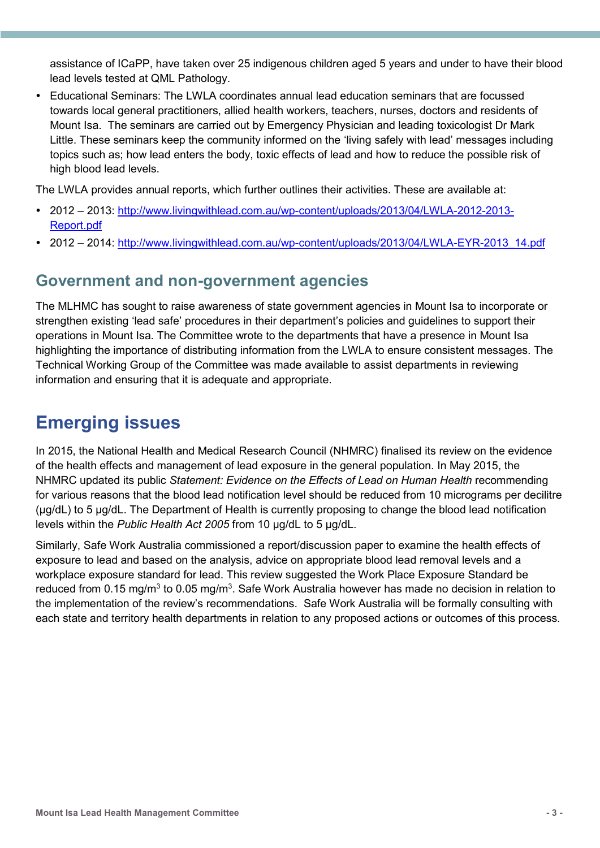assistance of ICaPP, have taken over 25 indigenous children aged 5 years and under to have their blood lead levels tested at QML Pathology.

 Educational Seminars: The LWLA coordinates annual lead education seminars that are focussed towards local general practitioners, allied health workers, teachers, nurses, doctors and residents of Mount Isa. The seminars are carried out by Emergency Physician and leading toxicologist Dr Mark Little. These seminars keep the community informed on the 'living safely with lead' messages including topics such as; how lead enters the body, toxic effects of lead and how to reduce the possible risk of high blood lead levels.

The LWLA provides annual reports, which further outlines their activities. These are available at:

- 2012 2013: [http://www.livingwithlead.com.au/wp-content/uploads/2013/04/LWLA-2012-2013-](http://www.livingwithlead.com.au/wp-content/uploads/2013/04/LWLA-2012-2013-Report.pdf) [Report.pdf](http://www.livingwithlead.com.au/wp-content/uploads/2013/04/LWLA-2012-2013-Report.pdf)
- 2012 2014: [http://www.livingwithlead.com.au/wp-content/uploads/2013/04/LWLA-EYR-2013\\_14.pdf](http://www.livingwithlead.com.au/wp-content/uploads/2013/04/LWLA-EYR-2013_14.pdf)

#### **Government and non-government agencies**

The MLHMC has sought to raise awareness of state government agencies in Mount Isa to incorporate or strengthen existing 'lead safe' procedures in their department's policies and guidelines to support their operations in Mount Isa. The Committee wrote to the departments that have a presence in Mount Isa highlighting the importance of distributing information from the LWLA to ensure consistent messages. The Technical Working Group of the Committee was made available to assist departments in reviewing information and ensuring that it is adequate and appropriate.

# **Emerging issues**

In 2015, the National Health and Medical Research Council (NHMRC) finalised its review on the evidence of the health effects and management of lead exposure in the general population. In May 2015, the NHMRC updated its public *Statement: Evidence on the Effects of Lead on Human Health* recommending for various reasons that the blood lead notification level should be reduced from 10 micrograms per decilitre (µg/dL) to 5 µg/dL. The Department of Health is currently proposing to change the blood lead notification levels within the *Public Health Act 2005* from 10 µg/dL to 5 µg/dL.

Similarly, Safe Work Australia commissioned a report/discussion paper to examine the health effects of exposure to lead and based on the analysis, advice on appropriate blood lead removal levels and a workplace exposure standard for lead. This review suggested the Work Place Exposure Standard be reduced from 0.15 mg/m $^3$  to 0.05 mg/m $^3$ . Safe Work Australia however has made no decision in relation to the implementation of the review's recommendations. Safe Work Australia will be formally consulting with each state and territory health departments in relation to any proposed actions or outcomes of this process.